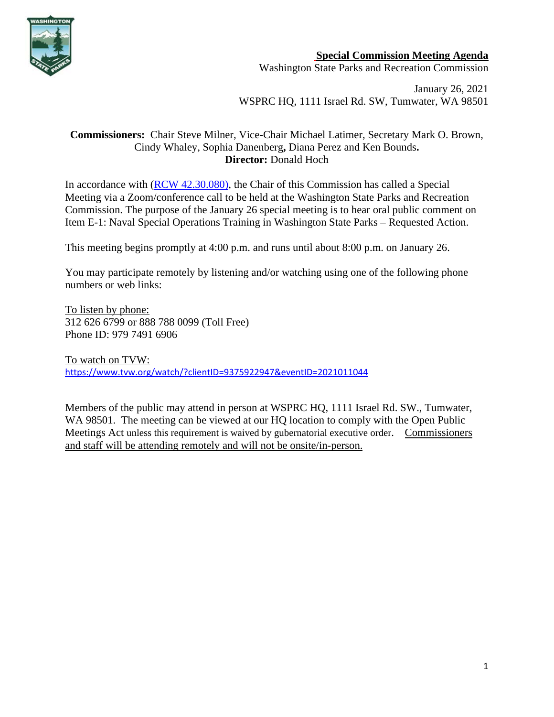

## **Special Commission Meeting Agenda**

Washington State Parks and Recreation Commission

January 26, 2021 WSPRC HQ, 1111 Israel Rd. SW, Tumwater, WA 98501

## **Commissioners:** Chair Steve Milner, Vice-Chair Michael Latimer, Secretary Mark O. Brown, Cindy Whaley, Sophia Danenberg**,** Diana Perez and Ken Bounds**. Director:** Donald Hoch

In accordance with [\(RCW 42.30.080\)](https://gcc02.safelinks.protection.outlook.com/?url=http%3A%2F%2Fapp.leg.wa.gov%2FRCW%2Fdefault.aspx%3Fcite%3D42.30.080&data=04%7C01%7CBecki.Ellison%40parks.wa.gov%7C9d0a10a54cda45f96e1a08d8a37f32d5%7C11d0e217264e400a8ba057dcc127d72d%7C0%7C0%7C637439113993792876%7CUnknown%7CTWFpbGZsb3d8eyJWIjoiMC4wLjAwMDAiLCJQIjoiV2luMzIiLCJBTiI6Ik1haWwiLCJXVCI6Mn0%3D%7C1000&sdata=dvFG7wtQixDX%2BxAzXhZJkkn%2Bo1RvVDrbL8ymhX5GnQg%3D&reserved=0), the Chair of this Commission has called a Special Meeting via a Zoom/conference call to be held at the Washington State Parks and Recreation Commission. The purpose of the January 26 special meeting is to hear oral public comment on Item E-1: Naval Special Operations Training in Washington State Parks – Requested Action.

This meeting begins promptly at 4:00 p.m. and runs until about 8:00 p.m. on January 26.

You may participate remotely by listening and/or watching using one of the following phone numbers or web links:

To listen by phone: 312 626 6799 or 888 788 0099 (Toll Free) Phone ID: 979 7491 6906

To watch on TVW: [https://www.tvw.org/watch/?clientID=9375922947&eventID=2021011044](https://gcc02.safelinks.protection.outlook.com/?url=https%3A%2F%2Fwww.tvw.org%2Fwatch%2F%3FclientID%3D9375922947%26eventID%3D2021011044&data=04%7C01%7CBecki.Ellison%40parks.wa.gov%7C33f749c5f9df45b7c56008d8a2da0bbc%7C11d0e217264e400a8ba057dcc127d72d%7C0%7C0%7C637438404690815507%7CUnknown%7CTWFpbGZsb3d8eyJWIjoiMC4wLjAwMDAiLCJQIjoiV2luMzIiLCJBTiI6Ik1haWwiLCJXVCI6Mn0%3D%7C1000&sdata=S2q7ZuCx6%2B401IRAImN0u%2F62BhN1W2sXtednZ88aH4Y%3D&reserved=0)

Members of the public may attend in person at WSPRC HQ, 1111 Israel Rd. SW., Tumwater, WA 98501. The meeting can be viewed at our HQ location to comply with the Open Public Meetings Act unless this requirement is waived by gubernatorial executive order. Commissioners and staff will be attending remotely and will not be onsite/in-person.